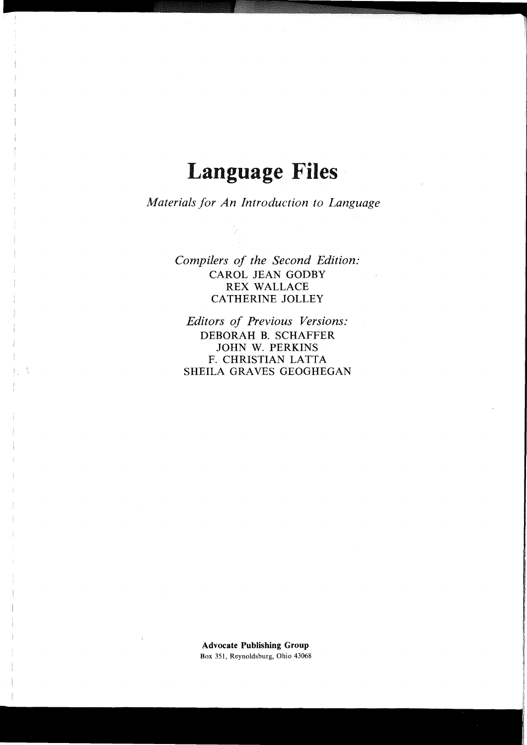## **Language Files**

*Materials for An Introduction to Language* 

*Compilers of the Second Edition:*  CAROL JEAN GODBY REX WALLACE CATHERINE JOLLEY

*Editors of Previous Versions:*  DEBORAH B. SCHAFFER JOHN W. PERKINS F. CHRISTIAN LATTA SHEILA GRAVES GEOGHEGAN

**Advocate Publishing Group**  Box 351, Reynoldsburg, Ohio 43068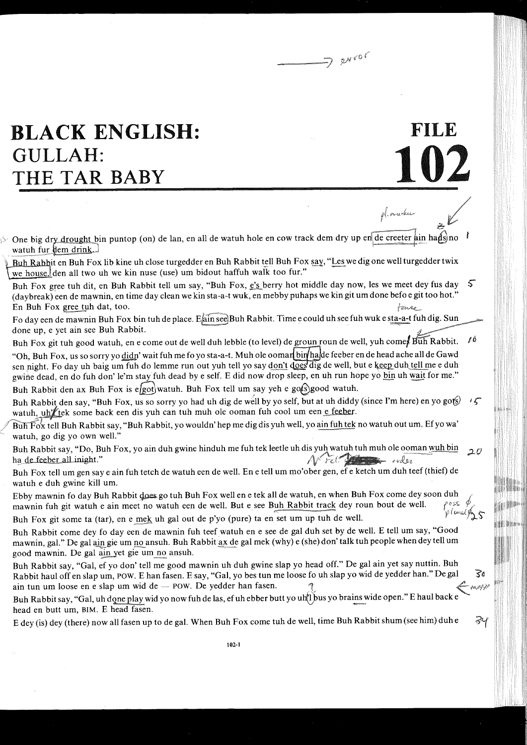$\Rightarrow$  guver

102

pl. nurku

FILE

 $\mathbb{R}^2$ 

**1** 

ZЧ

## **BLACK ENGLISH:**  $GULLAH.$ HE TAR BABY

**11** 

One big dry drought bin puntop (on) de lan, en all de watuh hole en cow track dem dry upen de creeter ain hans watuh fur them drink.

Buh Rabbit en Buh Fox lib kine uh close turgedder en Buh Rabbit tell Buh Fox say, "Les we dig one well turgedder twix we house, den all two uh we kin nuse (use) um bidout haffuh walk too fur."

Buh Fox gree tuh dit, en Buh Rabbit tell um say, "Buh Fox,  $\vec{e}$ 's berry hot middle day now, les we meet dey fus day  $\sqrt{5}$ (daybreak) een de mawnin, en time day clean we kin sta-a-t wuk, en mebby puhaps we kin git um done befo e git too hot." En Buh Fox gree tuh dat, too. tourns

Fo day een de mawnin Buh Fox bin tuh de place. Eain see Buh Rabbit. Time e could uh see fuh wuk e sta-a-t fuh dig. Sun done up, e yet ain see Buh Rabbit.

Buh Fox git tuh good watuh, en e come out de well duh lebble (to level) de groun roun de well, yuh comes Buh Rabbit.  $\ell^6$ 

"Oh, Buh Fox, us so sorry yo didn' wait fuh me fo yo sta-a-t. Muh ole ooman bin hade feeber en de head ache all de Gawd sen night. Fo day uh baig um fuh do lemme run out yuh tell yo say don't does dig de well, but e keep duh tell me e duh gwine dead, en do fuh don' le'm stay fuh dead by e self. E did now drop sleep, en uh run hope yo bin uh wait for me." Buh Rabbit den ax Buh Fox is egot) watuh. Buh Fox tell um say yeh e got Sgood watuh.

Buh Rabbit den say, "Buh Fox, us so sorry yo had uh dig de well by yo self, but at uh diddy (since I'm here) en yo gots)  $\sqrt{5}$ watuh, uh't tek some back een dis yuh can tuh muh ole ooman fuh cool um een e feeber.

Buh  $F_0$ x tell Buh Rabbit say, "Buh Rabbit, yo wouldn' hep me dig dis yuh well, yo ain fuh tek no watuh out um. Ef yo wa' watuh, go dig yo own well."

Buh Rabbit say, "Do, Buh Fox, yo ain duh gwine hinduh me fuh tek leetle uh dis yuh watuh tuh muh ole ooman wuh bin  $20$ ha de feeber all inight."

Buh Fox tell um gen say e ain fuh tetch de watuh een de well. En e tell um mo'ober gen, ef e ketch um duh teef (thief) de watuh e duh gwine kill um.

Ebby mawnin fo day Buh Rabbit does go tuh Buh Fox well en e tek all de watuh, en when Buh Fox come dey soon duh<br>mawnin fuh git watuh e ain meet no watuh een de well. But e see Buh Rabbit track dey roun bout de well.<br>Puh F mawnin fuh git watuh e ain meet no watuh een de well. But e see Buh Rabbit track dey roun bout de well.

Buh Fox git some ta (tar), en e mek uh gal out de p'yo (pure) ta en set um up tuh de well.

Buh Rabbit come dey fo day een de mawnin fuh teef watuh en e see de gal duh set by de well. E tell um say, "Good mawnin, gal." De gal ain gie um no ansuh. Buh Rabbit ax de gal mek (why) e (she) don' talk tuh people when dey tell um good mawnin. De gal ain yet gie um no ansuh.

Buh Rabbit say, "Gal, ef yo don' tell me good mawnin uh duh gwine slap yo head off." De gal ain yet say nuttin. Buh<br>Babbit haul off en slap um, POW. E han fasen. E say, "Gal, yo hes tun me loose fo uh slap yo wid de yedde Buh Rabbit say, "Gal, ef yo don' tell me good mawnin uh duh gwine slap yo head off." De gal ain yet say nuttin. Buh<br>Rabbit haul off en slap um, POW. E han fasen. E say, "Gal, yo bes tun me loose fo uh slap yo wid de yedde

Buh Rabbit say, "Gal, uh done play wid yo now fuh de las, ef uh ebber butt yo uht bus yo brains wide open." E haul back e head en butt um, BIM. E head fasen.

E dey (is) dey (there) now allfasen up to de gal. When Buh Fox come tuh de well, time Buh Rabbit shum (see him) duh e